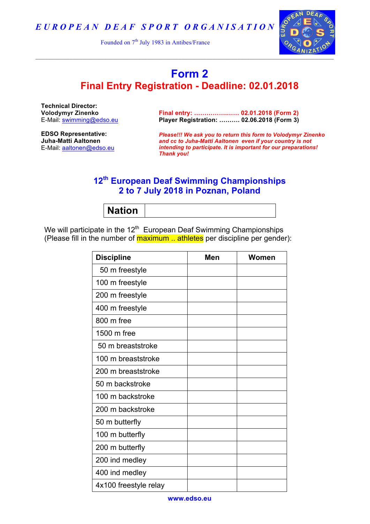*E U R O P E A N D E A F S P O R T O R G A N I S A T I O N*

Founded on  $7<sup>th</sup>$  July 1983 in Antibes/France



## **Form 2 Final Entry Registration - Deadline: 02.01.2018**

**Technical Director: Volodymyr Zinenko** E-Mail: swimming@edso.eu

**Final entry: …………….…… 02.01.2018 (Form 2) Player Registration: ………. 02.06.2018 (Form 3)**

**EDSO Representative: Juha-Matti Aaltonen** E-Mail: aaltonen@edso.eu

*Please!!! We ask you to return this form to Volodymyr Zinenko and cc to Juha-Matti Aaltonen even if your country is not intending to participate. It is important for our preparations! Thank you!*

## **12th European Deaf Swimming Championships 2 to 7 July 2018 in Poznan, Poland**

**Nation**

We will participate in the  $12<sup>th</sup>$  European Deaf Swimming Championships (Please fill in the number of **maximum ... athletes** per discipline per gender):

| <b>Discipline</b>     | Men | Women |
|-----------------------|-----|-------|
| 50 m freestyle        |     |       |
| 100 m freestyle       |     |       |
| 200 m freestyle       |     |       |
| 400 m freestyle       |     |       |
| 800 m free            |     |       |
| 1500 m free           |     |       |
| 50 m breaststroke     |     |       |
| 100 m breaststroke    |     |       |
| 200 m breaststroke    |     |       |
| 50 m backstroke       |     |       |
| 100 m backstroke      |     |       |
| 200 m backstroke      |     |       |
| 50 m butterfly        |     |       |
| 100 m butterfly       |     |       |
| 200 m butterfly       |     |       |
| 200 ind medley        |     |       |
| 400 ind medley        |     |       |
| 4x100 freestyle relay |     |       |